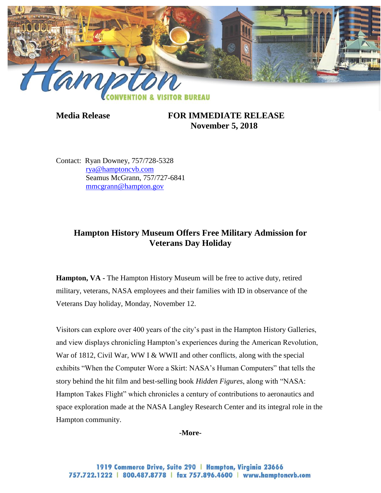

**Media Release FOR IMMEDIATE RELEASE November 5, 2018**

Contact: Ryan Downey, 757/728-5328 [rya@hamptoncvb.com](mailto:rya@hamptoncvb.com) Seamus McGrann, 757/727-6841 [mmcgrann@hampton.gov](mailto:mmcgrann@hampton.gov)

## **Hampton History Museum Offers Free Military Admission for Veterans Day Holiday**

**Hampton, VA -** The Hampton History Museum will be free to active duty, retired military, veterans, NASA employees and their families with ID in observance of the Veterans Day holiday, Monday, November 12.

Visitors can explore over 400 years of the city's past in the Hampton History Galleries, and view displays chronicling Hampton's experiences during the American Revolution, War of 1812, Civil War, WW I & WWII and other conflicts, along with the special exhibits "When the Computer Wore a Skirt: NASA's Human Computers" that tells the story behind the hit film and best-selling book *Hidden Figures*, along with "NASA: Hampton Takes Flight" which chronicles a century of contributions to aeronautics and space exploration made at the NASA Langley Research Center and its integral role in the Hampton community.

**-More-**